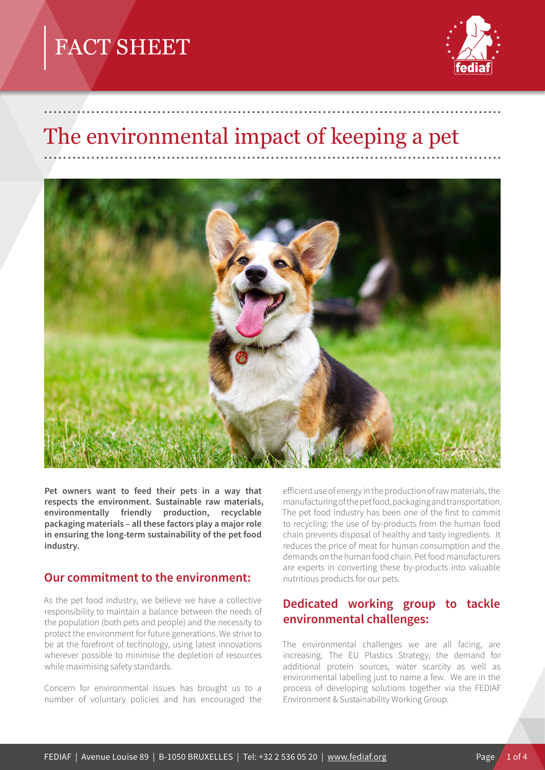

# The environmental impact of keeping a pet

.................................................................................................



**Pet owners want to feed their pets in a way that respects the environment. Sustainable raw materials, environmentally friendly production, recyclable packaging materials – all these factors play a major role in ensuring the long-term sustainability of the pet food industry.**

#### **Our commitment to the environment:**

As the pet food industry, we believe we have a collective responsibility to maintain a balance between the needs of the population (both pets and people) and the necessity to protect the environment for future generations. We strive to be at the forefront of technology, using latest innovations wherever possible to minimise the depletion of resources while maximising safety standards.

Concern for environmental issues has brought us to a number of voluntary policies and has encouraged the

efficient use of energy in the production of raw materials, the manufacturing of the pet food, packaging and transportation. The pet food industry has been one of the first to commit to recycling: the use of by-products from the human food chain prevents disposal of healthy and tasty ingredients. It reduces the price of meat for human consumption and the demands on the human food chain. Pet food manufacturers are experts in converting these by-products into valuable nutritious products for our pets.

#### **Dedicated working group to tackle environmental challenges:**

The environmental challenges we are all facing, are increasing. The EU Plastics Strategy, the demand for additional protein sources, water scarcity as well as environmental labelling just to name a few. We are in the process of developing solutions together via the FEDIAF Environment & Sustainability Working Group.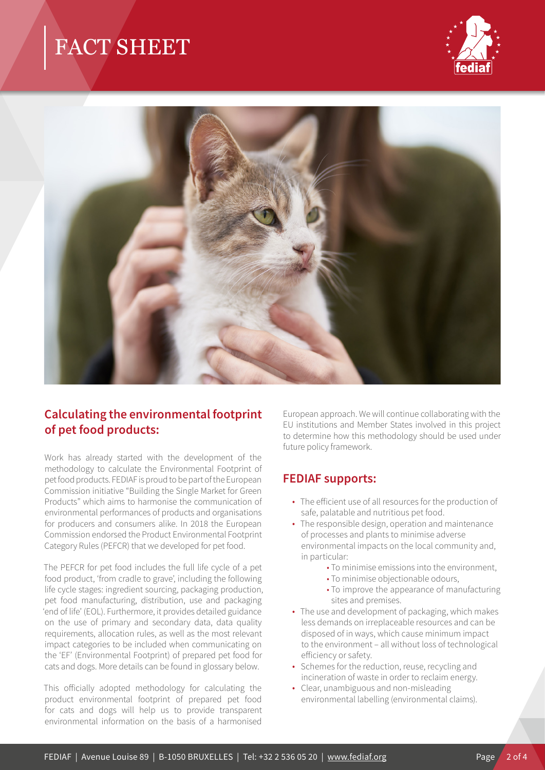



### **Calculating the environmental footprint of pet food products:**

Work has already started with the development of the methodology to calculate the Environmental Footprint of pet food products. FEDIAF is proud to be part of the European Commission initiative "Building the Single Market for Green Products" which aims to harmonise the communication of environmental performances of products and organisations for producers and consumers alike. In 2018 the European Commission endorsed the Product Environmental Footprint Category Rules (PEFCR) that we developed for pet food.

The PEFCR for pet food includes the full life cycle of a pet food product, 'from cradle to grave', including the following life cycle stages: ingredient sourcing, packaging production, pet food manufacturing, distribution, use and packaging 'end of life' (EOL). Furthermore, it provides detailed guidance on the use of primary and secondary data, data quality requirements, allocation rules, as well as the most relevant impact categories to be included when communicating on the 'EF' (Environmental Footprint) of prepared pet food for cats and dogs. More details can be found in glossary below.

This officially adopted methodology for calculating the product environmental footprint of prepared pet food for cats and dogs will help us to provide transparent environmental information on the basis of a harmonised

European approach. We will continue collaborating with the EU institutions and Member States involved in this project to determine how this methodology should be used under future policy framework.

#### **FEDIAF supports:**

- The efficient use of all resources for the production of safe, palatable and nutritious pet food.
- The responsible design, operation and maintenance of processes and plants to minimise adverse environmental impacts on the local community and, in particular:
	- To minimise emissions into the environment,
	- To minimise objectionable odours,
	- To improve the appearance of manufacturing sites and premises.
- The use and development of packaging, which makes less demands on irreplaceable resources and can be disposed of in ways, which cause minimum impact to the environment – all without loss of technological efficiency or safety.
- Schemes for the reduction, reuse, recycling and incineration of waste in order to reclaim energy.
- Clear, unambiguous and non-misleading environmental labelling (environmental claims).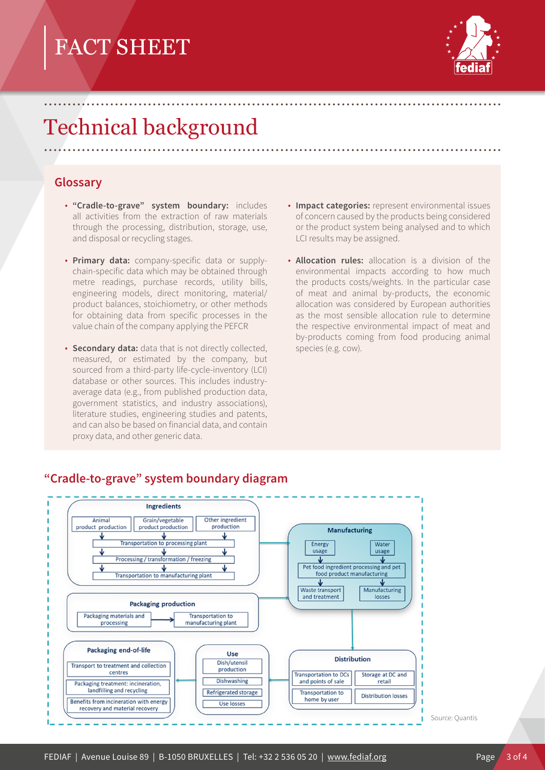

## Technical background .................................................................................................

.................................................................................................

#### **Glossary**

- **"Cradle-to-grave" system boundary:** includes all activities from the extraction of raw materials through the processing, distribution, storage, use, and disposal or recycling stages.
- **Primary data:** company-specific data or supplychain-specific data which may be obtained through metre readings, purchase records, utility bills, engineering models, direct monitoring, material/ product balances, stoichiometry, or other methods for obtaining data from specific processes in the value chain of the company applying the PEFCR
- **Secondary data:** data that is not directly collected, measured, or estimated by the company, but sourced from a third-party life-cycle-inventory (LCI) database or other sources. This includes industryaverage data (e.g., from published production data, government statistics, and industry associations), literature studies, engineering studies and patents, and can also be based on financial data, and contain proxy data, and other generic data.
- **Impact categories:** represent environmental issues of concern caused by the products being considered or the product system being analysed and to which LCI results may be assigned.
- **Allocation rules:** allocation is a division of the environmental impacts according to how much the products costs/weights. In the particular case of meat and animal by-products, the economic allocation was considered by European authorities as the most sensible allocation rule to determine the respective environmental impact of meat and by-products coming from food producing animal species (e.g. cow).



#### **"Cradle-to-grave" system boundary diagram**

Source: Quantis